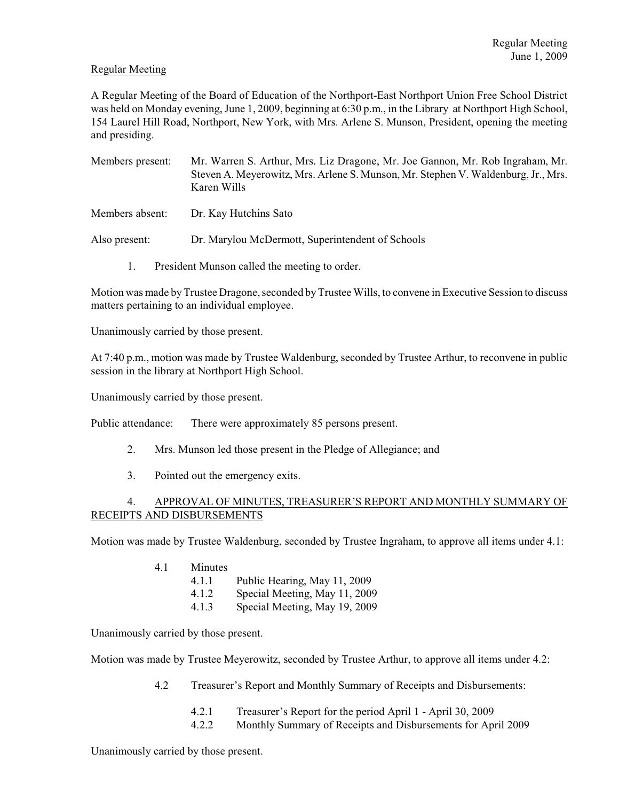## Regular Meeting

A Regular Meeting of the Board of Education of the Northport-East Northport Union Free School District was held on Monday evening, June 1, 2009, beginning at 6:30 p.m., in the Library at Northport High School, 154 Laurel Hill Road, Northport, New York, with Mrs. Arlene S. Munson, President, opening the meeting and presiding.

- Members present: Mr. Warren S. Arthur, Mrs. Liz Dragone, Mr. Joe Gannon, Mr. Rob Ingraham, Mr. Steven A. Meyerowitz, Mrs. Arlene S. Munson, Mr. Stephen V. Waldenburg, Jr., Mrs. Karen Wills
- Members absent: Dr. Kay Hutchins Sato
- Also present: Dr. Marylou McDermott, Superintendent of Schools
	- 1. President Munson called the meeting to order.

Motion was made by Trustee Dragone, seconded by Trustee Wills, to convene in Executive Session to discuss matters pertaining to an individual employee.

Unanimously carried by those present.

At 7:40 p.m., motion was made by Trustee Waldenburg, seconded by Trustee Arthur, to reconvene in public session in the library at Northport High School.

Unanimously carried by those present.

Public attendance: There were approximately 85 persons present.

- 2. Mrs. Munson led those present in the Pledge of Allegiance; and
- 3. Pointed out the emergency exits.

# 4. APPROVAL OF MINUTES, TREASURER'S REPORT AND MONTHLY SUMMARY OF RECEIPTS AND DISBURSEMENTS

Motion was made by Trustee Waldenburg, seconded by Trustee Ingraham, to approve all items under 4.1:

- 4.1 Minutes
	- 4.1.1 Public Hearing, May 11, 2009
	- 4.1.2 Special Meeting, May 11, 2009
	- 4.1.3 Special Meeting, May 19, 2009

Unanimously carried by those present.

Motion was made by Trustee Meyerowitz, seconded by Trustee Arthur, to approve all items under 4.2:

- 4.2 Treasurer's Report and Monthly Summary of Receipts and Disbursements:
	- 4.2.1 Treasurer's Report for the period April 1 April 30, 2009
	- 4.2.2 Monthly Summary of Receipts and Disbursements for April 2009

Unanimously carried by those present.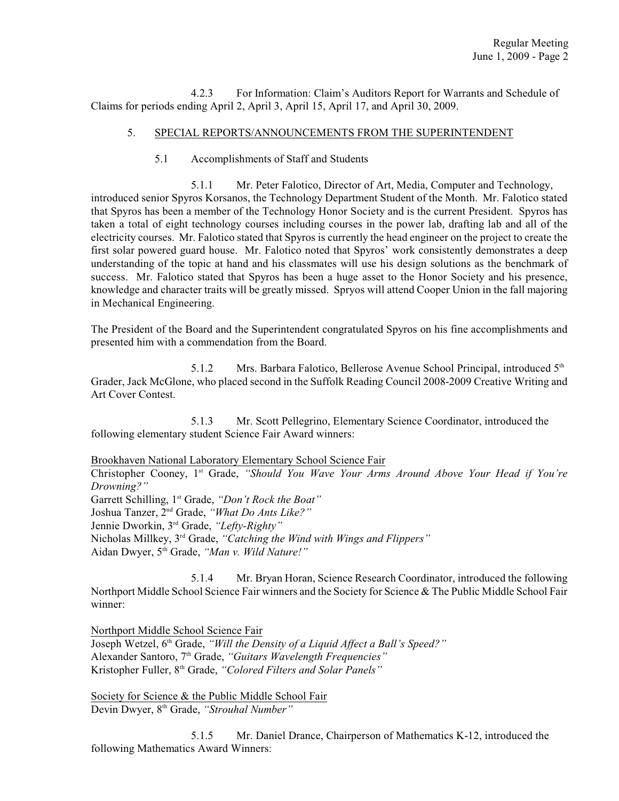4.2.3 For Information: Claim's Auditors Report for Warrants and Schedule of Claims for periods ending April 2, April 3, April 15, April 17, and April 30, 2009.

## 5. SPECIAL REPORTS/ANNOUNCEMENTS FROM THE SUPERINTENDENT

5.1 Accomplishments of Staff and Students

5.1.1 Mr. Peter Falotico, Director of Art, Media, Computer and Technology, introduced senior Spyros Korsanos, the Technology Department Student of the Month. Mr. Falotico stated that Spyros has been a member of the Technology Honor Society and is the current President. Spyros has taken a total of eight technology courses including courses in the power lab, drafting lab and all of the electricity courses. Mr. Falotico stated that Spyros is currently the head engineer on the project to create the first solar powered guard house. Mr. Falotico noted that Spyros' work consistently demonstrates a deep understanding of the topic at hand and his classmates will use his design solutions as the benchmark of success. Mr. Falotico stated that Spyros has been a huge asset to the Honor Society and his presence, knowledge and character traits will be greatly missed. Spryos will attend Cooper Union in the fall majoring in Mechanical Engineering.

The President of the Board and the Superintendent congratulated Spyros on his fine accomplishments and presented him with a commendation from the Board.

5.1.2 Mrs. Barbara Falotico, Bellerose Avenue School Principal, introduced 5<sup>th</sup> Grader, Jack McGlone, who placed second in the Suffolk Reading Council 2008-2009 Creative Writing and Art Cover Contest.

5.1.3 Mr. Scott Pellegrino, Elementary Science Coordinator, introduced the following elementary student Science Fair Award winners:

Brookhaven National Laboratory Elementary School Science Fair

Christopher Cooney, 1<sup>st</sup> Grade, "Should You Wave Your Arms Around Above Your Head if You're *Drowning?"*

Garrett Schilling, 1<sup>st</sup> Grade, "Don't Rock the Boat"

Joshua Tanzer, 2<sup>nd</sup> Grade, "What Do Ants Like?"

Jennie Dworkin, 3<sup>rd</sup> Grade, "Lefty-Righty"

Nicholas Millkey, 3<sup>rd</sup> Grade, "Catching the Wind with Wings and Flippers"

Aidan Dwyer, 5<sup>th</sup> Grade, "Man v. Wild Nature!"

5.1.4 Mr. Bryan Horan, Science Research Coordinator, introduced the following Northport Middle School Science Fair winners and the Society for Science & The Public Middle School Fair winner:

Northport Middle School Science Fair

Joseph Wetzel, 6<sup>th</sup> Grade, *"Will the Density of a Liquid Affect a Ball's Speed?"* Alexander Santoro, 7<sup>th</sup> Grade, "Guitars Wavelength Frequencies" Kristopher Fuller, 8<sup>th</sup> Grade, "Colored Filters and Solar Panels"

Society for Science & the Public Middle School Fair Devin Dwyer, 8<sup>th</sup> Grade, "Strouhal Number"

5.1.5 Mr. Daniel Drance, Chairperson of Mathematics K-12, introduced the following Mathematics Award Winners: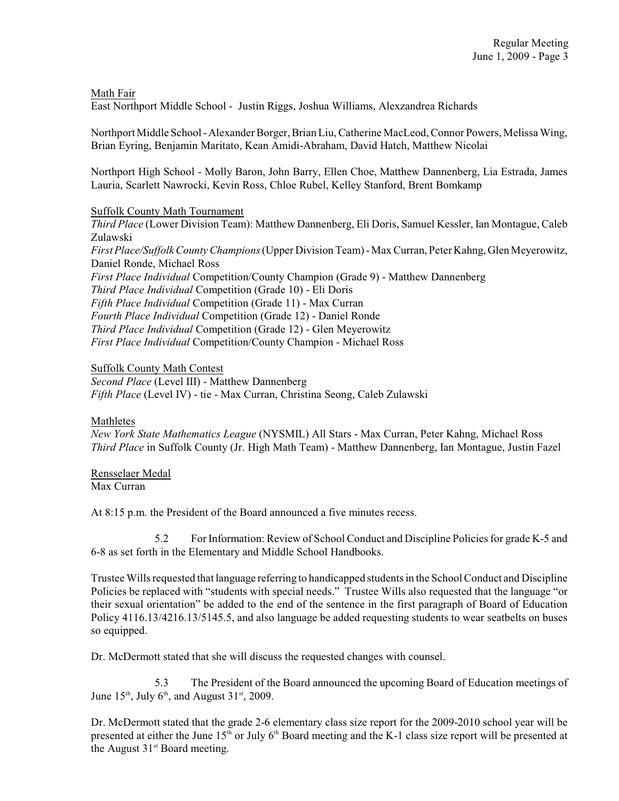Math Fair

East Northport Middle School - Justin Riggs, Joshua Williams, Alexzandrea Richards

Northport Middle School - Alexander Borger, Brian Liu, Catherine MacLeod, Connor Powers, Melissa Wing, Brian Eyring, Benjamin Maritato, Kean Amidi-Abraham, David Hatch, Matthew Nicolai

Northport High School - Molly Baron, John Barry, Ellen Choe, Matthew Dannenberg, Lia Estrada, James Lauria, Scarlett Nawrocki, Kevin Ross, Chloe Rubel, Kelley Stanford, Brent Bomkamp

### Suffolk County Math Tournament

*Third Place* (Lower Division Team): Matthew Dannenberg, Eli Doris, Samuel Kessler, Ian Montague, Caleb Zulawski *First Place/Suffolk County Champions* (Upper Division Team) - Max Curran, Peter Kahng, Glen Meyerowitz, Daniel Ronde, Michael Ross *First Place Individual* Competition/County Champion (Grade 9) - Matthew Dannenberg *Third Place Individual* Competition (Grade 10) - Eli Doris *Fifth Place Individual* Competition (Grade 11) - Max Curran *Fourth Place Individual* Competition (Grade 12) - Daniel Ronde *Third Place Individual* Competition (Grade 12) - Glen Meyerowitz *First Place Individual* Competition/County Champion - Michael Ross

Suffolk County Math Contest

*Second Place* (Level III) - Matthew Dannenberg *Fifth Place* (Level IV) - tie - Max Curran, Christina Seong, Caleb Zulawski

#### Mathletes

*New York State Mathematics League* (NYSMIL) All Stars - Max Curran, Peter Kahng, Michael Ross *Third Place* in Suffolk County (Jr. High Math Team) - Matthew Dannenberg, Ian Montague, Justin Fazel

Rensselaer Medal Max Curran

At 8:15 p.m. the President of the Board announced a five minutes recess.

5.2 For Information: Review of School Conduct and Discipline Policies for grade K-5 and 6-8 as set forth in the Elementary and Middle School Handbooks.

Trustee Wills requested that language referring to handicapped students in the School Conduct and Discipline Policies be replaced with "students with special needs." Trustee Wills also requested that the language "or their sexual orientation" be added to the end of the sentence in the first paragraph of Board of Education Policy 4116.13/4216.13/5145.5, and also language be added requesting students to wear seatbelts on buses so equipped.

Dr. McDermott stated that she will discuss the requested changes with counsel.

5.3 The President of the Board announced the upcoming Board of Education meetings of June  $15<sup>th</sup>$ , July 6<sup>th</sup>, and August 31<sup>st</sup>, 2009.

Dr. McDermott stated that the grade 2-6 elementary class size report for the 2009-2010 school year will be presented at either the June  $15<sup>th</sup>$  or July  $6<sup>th</sup>$  Board meeting and the K-1 class size report will be presented at the August  $31<sup>st</sup>$  Board meeting.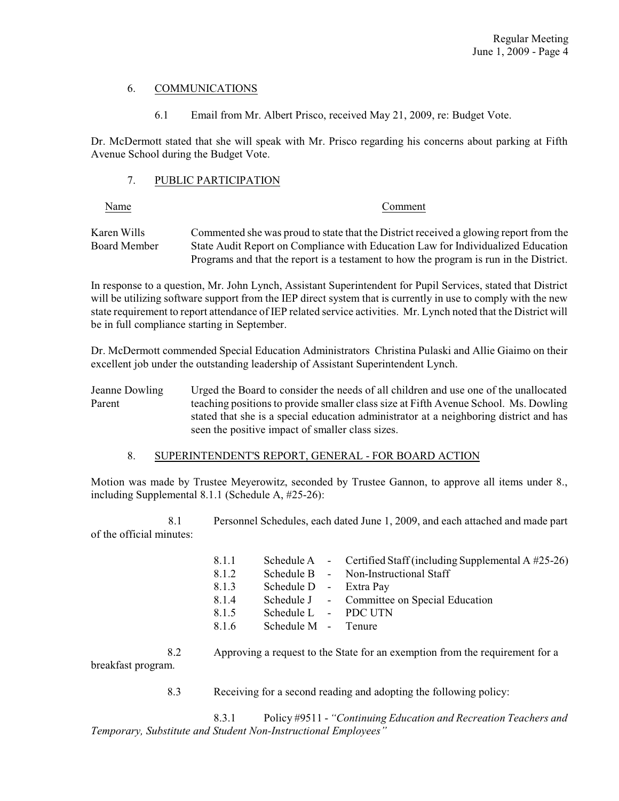## 6. COMMUNICATIONS

6.1 Email from Mr. Albert Prisco, received May 21, 2009, re: Budget Vote.

Dr. McDermott stated that she will speak with Mr. Prisco regarding his concerns about parking at Fifth Avenue School during the Budget Vote.

### 7. PUBLIC PARTICIPATION

#### Name Comment

Karen Wills Commented she was proud to state that the District received a glowing report from the Board Member State Audit Report on Compliance with Education Law for Individualized Education Programs and that the report is a testament to how the program is run in the District.

In response to a question, Mr. John Lynch, Assistant Superintendent for Pupil Services, stated that District will be utilizing software support from the IEP direct system that is currently in use to comply with the new state requirement to report attendance of IEP related service activities. Mr. Lynch noted that the District will be in full compliance starting in September.

Dr. McDermott commended Special Education Administrators Christina Pulaski and Allie Giaimo on their excellent job under the outstanding leadership of Assistant Superintendent Lynch.

Jeanne Dowling Urged the Board to consider the needs of all children and use one of the unallocated Parent teaching positions to provide smaller class size at Fifth Avenue School. Ms. Dowling stated that she is a special education administrator at a neighboring district and has seen the positive impact of smaller class sizes.

## 8. SUPERINTENDENT'S REPORT, GENERAL - FOR BOARD ACTION

Motion was made by Trustee Meyerowitz, seconded by Trustee Gannon, to approve all items under 8., including Supplemental 8.1.1 (Schedule A, #25-26):

8.1 Personnel Schedules, each dated June 1, 2009, and each attached and made part of the official minutes:

| 8.1.1 |                        | Schedule A - Certified Staff (including Supplemental A $#25-26$ ) |
|-------|------------------------|-------------------------------------------------------------------|
| 8.1.2 |                        | Schedule B - Non-Instructional Staff                              |
| 8.1.3 | Schedule D - Extra Pay |                                                                   |
| 8.1.4 |                        | Schedule J - Committee on Special Education                       |
| 8.1.5 | Schedule L - PDC UTN   |                                                                   |
| 8.1.6 | Schedule M - Tenure    |                                                                   |
|       |                        |                                                                   |

8.2 Approving a request to the State for an exemption from the requirement for a breakfast program.

8.3 Receiving for a second reading and adopting the following policy:

8.3.1 Policy #9511 - *"Continuing Education and Recreation Teachers and Temporary, Substitute and Student Non-Instructional Employees"*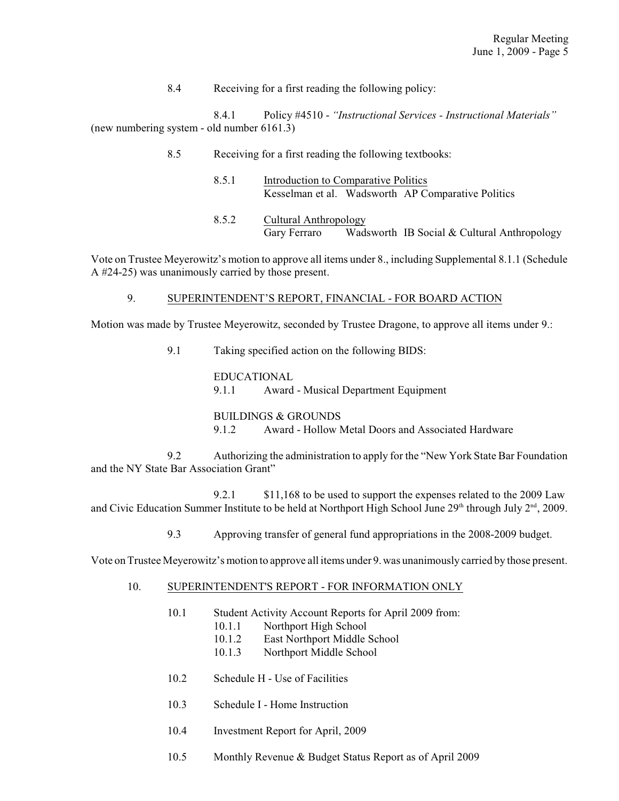8.4 Receiving for a first reading the following policy:

8.4.1 Policy #4510 - *"Instructional Services - Instructional Materials"* (new numbering system - old number 6161.3)

- 8.5 Receiving for a first reading the following textbooks:
	- 8.5.1 Introduction to Comparative Politics Kesselman et al. Wadsworth AP Comparative Politics
	- 8.5.2 Cultural Anthropology Gary Ferraro Wadsworth IB Social & Cultural Anthropology

Vote on Trustee Meyerowitz's motion to approve all items under 8., including Supplemental 8.1.1 (Schedule A #24-25) was unanimously carried by those present.

# 9. SUPERINTENDENT'S REPORT, FINANCIAL - FOR BOARD ACTION

Motion was made by Trustee Meyerowitz, seconded by Trustee Dragone, to approve all items under 9.:

9.1 Taking specified action on the following BIDS:

EDUCATIONAL 9.1.1 Award - Musical Department Equipment

BUILDINGS & GROUNDS 9.1.2 Award - Hollow Metal Doors and Associated Hardware

9.2 Authorizing the administration to apply for the "New York State Bar Foundation and the NY State Bar Association Grant"

9.2.1 \$11,168 to be used to support the expenses related to the 2009 Law and Civic Education Summer Institute to be held at Northport High School June  $29<sup>th</sup>$  through July  $2<sup>nd</sup>$ , 2009.

9.3 Approving transfer of general fund appropriations in the 2008-2009 budget.

Vote on Trustee Meyerowitz's motion to approve all items under 9.was unanimously carried by those present.

## 10. SUPERINTENDENT'S REPORT - FOR INFORMATION ONLY

- 10.1 Student Activity Account Reports for April 2009 from:
	- 10.1.1 Northport High School
	- 10.1.2 East Northport Middle School
	- 10.1.3 Northport Middle School
- 10.2 Schedule H Use of Facilities
- 10.3 Schedule I Home Instruction
- 10.4 Investment Report for April, 2009
- 10.5 Monthly Revenue & Budget Status Report as of April 2009